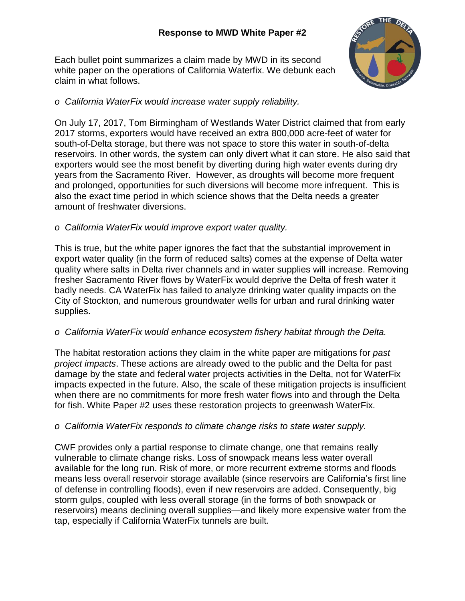# **Response to MWD White Paper #2**

Each bullet point summarizes a claim made by MWD in its second white paper on the operations of California Waterfix. We debunk each claim in what follows.



# *o California WaterFix would increase water supply reliability.*

On July 17, 2017, Tom Birmingham of Westlands Water District claimed that from early 2017 storms, exporters would have received an extra 800,000 acre-feet of water for south-of-Delta storage, but there was not space to store this water in south-of-delta reservoirs. In other words, the system can only divert what it can store. He also said that exporters would see the most benefit by diverting during high water events during dry years from the Sacramento River. However, as droughts will become more frequent and prolonged, opportunities for such diversions will become more infrequent. This is also the exact time period in which science shows that the Delta needs a greater amount of freshwater diversions.

# *o California WaterFix would improve export water quality.*

This is true, but the white paper ignores the fact that the substantial improvement in export water quality (in the form of reduced salts) comes at the expense of Delta water quality where salts in Delta river channels and in water supplies will increase. Removing fresher Sacramento River flows by WaterFix would deprive the Delta of fresh water it badly needs. CA WaterFix has failed to analyze drinking water quality impacts on the City of Stockton, and numerous groundwater wells for urban and rural drinking water supplies.

# *o California WaterFix would enhance ecosystem fishery habitat through the Delta.*

The habitat restoration actions they claim in the white paper are mitigations for *past project impacts*. These actions are already owed to the public and the Delta for past damage by the state and federal water projects activities in the Delta, not for WaterFix impacts expected in the future. Also, the scale of these mitigation projects is insufficient when there are no commitments for more fresh water flows into and through the Delta for fish. White Paper #2 uses these restoration projects to greenwash WaterFix.

# *o California WaterFix responds to climate change risks to state water supply.*

CWF provides only a partial response to climate change, one that remains really vulnerable to climate change risks. Loss of snowpack means less water overall available for the long run. Risk of more, or more recurrent extreme storms and floods means less overall reservoir storage available (since reservoirs are California's first line of defense in controlling floods), even if new reservoirs are added. Consequently, big storm gulps, coupled with less overall storage (in the forms of both snowpack or reservoirs) means declining overall supplies—and likely more expensive water from the tap, especially if California WaterFix tunnels are built.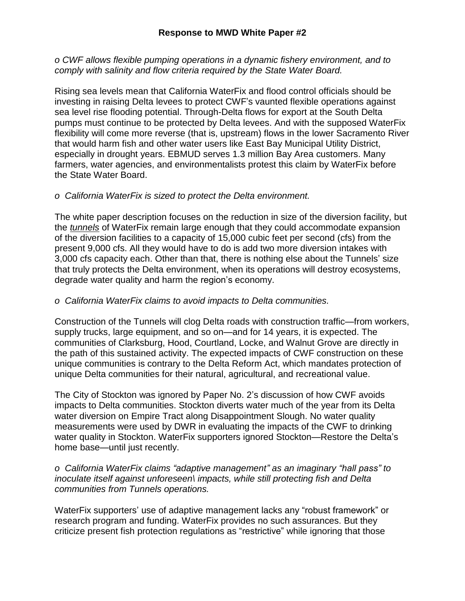#### **Response to MWD White Paper #2**

*o CWF allows flexible pumping operations in a dynamic fishery environment, and to comply with salinity and flow criteria required by the State Water Board.*

Rising sea levels mean that California WaterFix and flood control officials should be investing in raising Delta levees to protect CWF's vaunted flexible operations against sea level rise flooding potential. Through-Delta flows for export at the South Delta pumps must continue to be protected by Delta levees. And with the supposed WaterFix flexibility will come more reverse (that is, upstream) flows in the lower Sacramento River that would harm fish and other water users like East Bay Municipal Utility District, especially in drought years. EBMUD serves 1.3 million Bay Area customers. Many farmers, water agencies, and environmentalists protest this claim by WaterFix before the State Water Board.

#### *o California WaterFix is sized to protect the Delta environment.*

The white paper description focuses on the reduction in size of the diversion facility, but the *tunnels* of WaterFix remain large enough that they could accommodate expansion of the diversion facilities to a capacity of 15,000 cubic feet per second (cfs) from the present 9,000 cfs. All they would have to do is add two more diversion intakes with 3,000 cfs capacity each. Other than that, there is nothing else about the Tunnels' size that truly protects the Delta environment, when its operations will destroy ecosystems, degrade water quality and harm the region's economy.

#### *o California WaterFix claims to avoid impacts to Delta communities.*

Construction of the Tunnels will clog Delta roads with construction traffic—from workers, supply trucks, large equipment, and so on—and for 14 years, it is expected. The communities of Clarksburg, Hood, Courtland, Locke, and Walnut Grove are directly in the path of this sustained activity. The expected impacts of CWF construction on these unique communities is contrary to the Delta Reform Act, which mandates protection of unique Delta communities for their natural, agricultural, and recreational value.

The City of Stockton was ignored by Paper No. 2's discussion of how CWF avoids impacts to Delta communities. Stockton diverts water much of the year from its Delta water diversion on Empire Tract along Disappointment Slough. No water quality measurements were used by DWR in evaluating the impacts of the CWF to drinking water quality in Stockton. WaterFix supporters ignored Stockton—Restore the Delta's home base—until just recently.

#### *o California WaterFix claims "adaptive management" as an imaginary "hall pass" to inoculate itself against unforeseen\ impacts, while still protecting fish and Delta communities from Tunnels operations.*

WaterFix supporters' use of adaptive management lacks any "robust framework" or research program and funding. WaterFix provides no such assurances. But they criticize present fish protection regulations as "restrictive" while ignoring that those